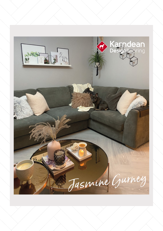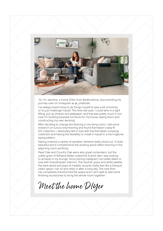

"Hi, I'm Jasmine, a home DIYer from Bedfordshire, documenting my journey over on Instagram as @\_ohabode.

I've always loved trying to do things myself to save a bit of money or to just challenge myself. This time last year, I could wire in a light fitting, put up shelves and wallpaper, and that was pretty much it, but now I'm building bespoke furniture for my house, laying floors and constructing my own decking!

After deciding to change the flooring in my living room, I did some research on luxury vinyl flooring and found Karndean's easy fit DIY collection. I absolutely fell in love with the Karndean LooseLay collection and having the flexibility to install it myself in a herringbone laying pattern.

Having ordered a variety of samples, Ashland really stood out. It looks beautiful and it complements the existing wood-effect flooring in the adjoining room perfectly.

Pearl Oak and Country Oak were also great contenders, but the subtle grain of Ashland better suited the Scandi vibe I was looking to achieve in my lounge. Since joining Instagram I've totally fallen in love with Scandinavian interiors. The neutral, greys and white palette, the bare wood and pops of metallic accents really feel like a tranquil, clean space I can sit and relax in after a long day. The new floor has completely transformed the space and I can't wait to add some finishing accessories to bring the whole room together."

Meet the home DIYer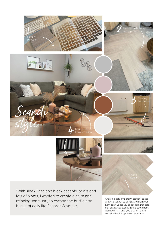

lots of plants, I wanted to create a calm and relaxing sanctuary to escape the hustle and bustle of daily life." shares Jasmine.

Create a contemporary, elegant space with the soft white of Ashland from our Karndean LooseLay collection. Delicate oak grains coupled with the cool chalky washed finish give you a striking and versatile backdrop to suit any style.